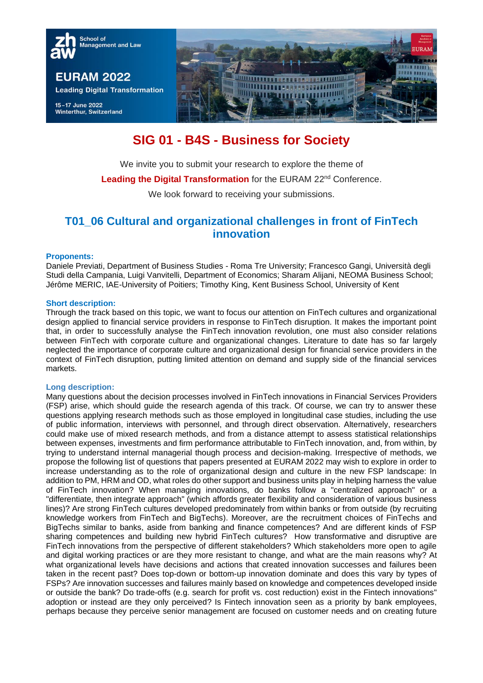

# **SIG 01 - B4S - Business for Society**

We invite you to submit your research to explore the theme of

Leading the Digital Transformation for the EURAM 22<sup>nd</sup> Conference.

We look forward to receiving your submissions.

## **T01\_06 Cultural and organizational challenges in front of FinTech innovation**

#### **Proponents:**

Daniele Previati, Department of Business Studies - Roma Tre University; Francesco Gangi, Università degli Studi della Campania, Luigi Vanvitelli, Department of Economics; Sharam Alijani, NEOMA Business School; Jérôme MERIC, IAE-University of Poitiers; Timothy King, Kent Business School, University of Kent

#### **Short description:**

Through the track based on this topic, we want to focus our attention on FinTech cultures and organizational design applied to financial service providers in response to FinTech disruption. It makes the important point that, in order to successfully analyse the FinTech innovation revolution, one must also consider relations between FinTech with corporate culture and organizational changes. Literature to date has so far largely neglected the importance of corporate culture and organizational design for financial service providers in the context of FinTech disruption, putting limited attention on demand and supply side of the financial services markets.

## **Long description:**

Many questions about the decision processes involved in FinTech innovations in Financial Services Providers (FSP) arise, which should guide the research agenda of this track. Of course, we can try to answer these questions applying research methods such as those employed in longitudinal case studies, including the use of public information, interviews with personnel, and through direct observation. Alternatively, researchers could make use of mixed research methods, and from a distance attempt to assess statistical relationships between expenses, investments and firm performance attributable to FinTech innovation, and, from within, by trying to understand internal managerial though process and decision-making. Irrespective of methods, we propose the following list of questions that papers presented at EURAM 2022 may wish to explore in order to increase understanding as to the role of organizational design and culture in the new FSP landscape: In addition to PM, HRM and OD, what roles do other support and business units play in helping harness the value of FinTech innovation? When managing innovations, do banks follow a "centralized approach" or a "differentiate, then integrate approach" (which affords greater flexibility and consideration of various business lines)? Are strong FinTech cultures developed predominately from within banks or from outside (by recruiting knowledge workers from FinTech and BigTechs). Moreover, are the recruitment choices of FinTechs and BigTechs similar to banks, aside from banking and finance competences? And are different kinds of FSP sharing competences and building new hybrid FinTech cultures? How transformative and disruptive are FinTech innovations from the perspective of different stakeholders? Which stakeholders more open to agile and digital working practices or are they more resistant to change, and what are the main reasons why? At what organizational levels have decisions and actions that created innovation successes and failures been taken in the recent past? Does top-down or bottom-up innovation dominate and does this vary by types of FSPs? Are innovation successes and failures mainly based on knowledge and competences developed inside or outside the bank? Do trade-offs (e.g. search for profit vs. cost reduction) exist in the Fintech innovations" adoption or instead are they only perceived? Is Fintech innovation seen as a priority by bank employees, perhaps because they perceive senior management are focused on customer needs and on creating future